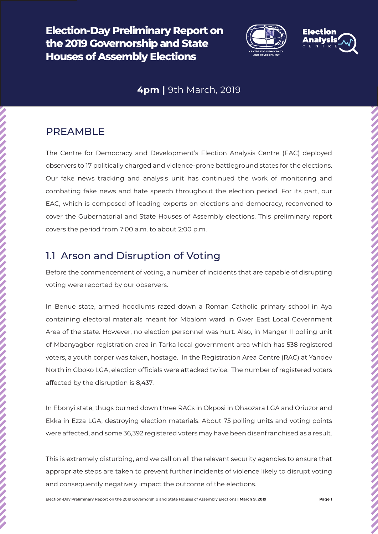**Election-Day Preliminary Report on the 2019 Governorship and State Houses of Assembly Elections** 



### **4pm |** 9th March, 2019

### PREAMBLE

The Centre for Democracy and Development's Election Analysis Centre (EAC) deployed observers to 17 politically charged and violence-prone battleground states for the elections. Our fake news tracking and analysis unit has continued the work of monitoring and combating fake news and hate speech throughout the election period. For its part, our EAC, which is composed of leading experts on elections and democracy, reconvened to cover the Gubernatorial and State Houses of Assembly elections. This preliminary report covers the period from 7:00 a.m. to about 2:00 p.m.

### 1.1 Arson and Disruption of Voting

Before the commencement of voting, a number of incidents that are capable of disrupting voting were reported by our observers.

In Benue state, armed hoodlums razed down a Roman Catholic primary school in Aya containing electoral materials meant for Mbalom ward in Gwer East Local Government Area of the state. However, no election personnel was hurt. Also, in Manger II polling unit of Mbanyagber registration area in Tarka local government area which has 538 registered voters, a youth corper was taken, hostage. In the Registration Area Centre (RAC) at Yandev North in Gboko LGA, election officials were attacked twice. The number of registered voters affected by the disruption is 8,437.

In Ebonyi state, thugs burned down three RACs in Okposi in Ohaozara LGA and Oriuzor and Ekka in Ezza LGA, destroying election materials. About 75 polling units and voting points were affected, and some 36,392 registered voters may have been disenfranchised as a result.

This is extremely disturbing, and we call on all the relevant security agencies to ensure that appropriate steps are taken to prevent further incidents of violence likely to disrupt voting and consequently negatively impact the outcome of the elections.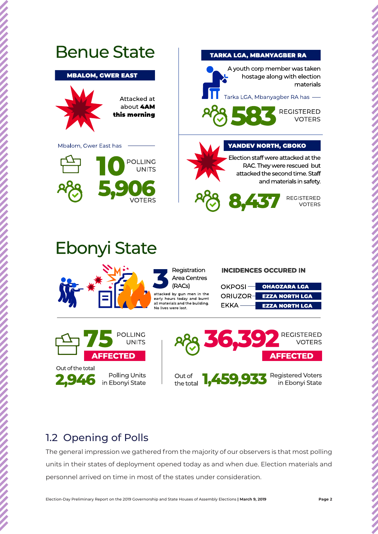

The general impression we gathered from the majority of our observers is that most polling units in their states of deployment opened today as and when due. Election materials and personnel arrived on time in most of the states under consideration.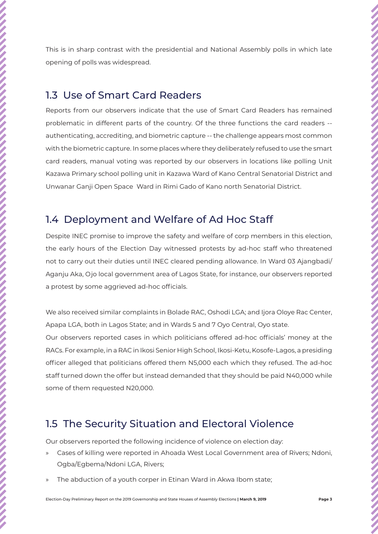This is in sharp contrast with the presidential and National Assembly polls in which late opening of polls was widespread. 1.3 Use of Smart Card Readers Reports from our observers indicate that the use of Smart Card Readers has remained problematic in different parts of the country. Of the three functions the card readers - authenticating, accrediting, and biometric capture -- the challenge appears most common with the biometric capture. In some places where they deliberately refused to use the smart card readers, manual voting was reported by our observers in locations like polling Unit Kazawa Primary school polling unit in Kazawa Ward of Kano Central Senatorial District and Unwanar Ganji Open Space Ward in Rimi Gado of Kano north Senatorial District. 1.4 Deployment and Welfare of Ad Hoc Staff Despite INEC promise to improve the safety and welfare of corp members in this election, the early hours of the Election Day witnessed protests by ad-hoc staff who threatened not to carry out their duties until INEC cleared pending allowance. In Ward 03 Ajangbadi/ Aganju Aka, Ojo local government area of Lagos State, for instance, our observers reported a protest by some aggrieved ad-hoc officials. We also received similar complaints in Bolade RAC, Oshodi LGA; and Ijora Oloye Rac Center, Apapa LGA, both in Lagos State; and in Wards 5 and 7 Oyo Central, Oyo state. Our observers reported cases in which politicians offered ad-hoc officials' money at the RACs. For example, in a RAC in Ikosi Senior High School, Ikosi-Ketu, Kosofe-Lagos, a presiding officer alleged that politicians offered them N5,000 each which they refused. The ad-hoc staff turned down the offer but instead demanded that they should be paid N40,000 while

### some of them requested N20,000.

# 1.5 The Security Situation and Electoral Violence

Our observers reported the following incidence of violence on election day:

- » Cases of killing were reported in Ahoada West Local Government area of Rivers; Ndoni, Ogba/Egbema/Ndoni LGA, Rivers;
- The abduction of a youth corper in Etinan Ward in Akwa Ibom state;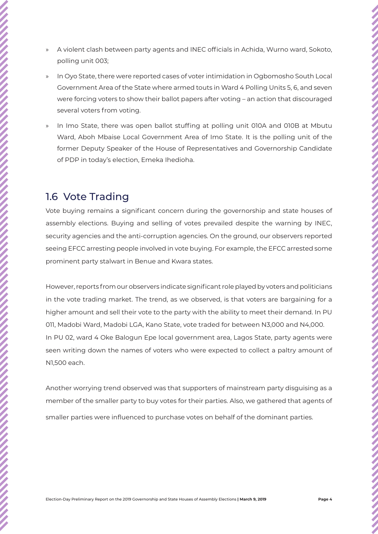- 
- » A violent clash between party agents and INEC officials in Achida, Wurno ward, Sokoto, polling unit 003;
- » In Oyo State, there were reported cases of voter intimidation in Ogbomosho South Local Government Area of the State where armed touts in Ward 4 Polling Units 5, 6, and seven were forcing voters to show their ballot papers after voting – an action that discouraged several voters from voting.
- » In Imo State, there was open ballot stuffing at polling unit 010A and 010B at Mbutu Ward, Aboh Mbaise Local Government Area of Imo State. It is the polling unit of the former Deputy Speaker of the House of Representatives and Governorship Candidate of PDP in today's election, Emeka Ihedioha.

### 1.6 Vote Trading

Vote buying remains a significant concern during the governorship and state houses of assembly elections. Buying and selling of votes prevailed despite the warning by INEC, security agencies and the anti-corruption agencies. On the ground, our observers reported seeing EFCC arresting people involved in vote buying. For example, the EFCC arrested some prominent party stalwart in Benue and Kwara states.

However, reports from our observers indicate significant role played by voters and politicians in the vote trading market. The trend, as we observed, is that voters are bargaining for a higher amount and sell their vote to the party with the ability to meet their demand. In PU 011, Madobi Ward, Madobi LGA, Kano State, vote traded for between N3,000 and N4,000. In PU 02, ward 4 Oke Balogun Epe local government area, Lagos State, party agents were seen writing down the names of voters who were expected to collect a paltry amount of N1,500 each.

Another worrying trend observed was that supporters of mainstream party disguising as a member of the smaller party to buy votes for their parties. Also, we gathered that agents of smaller parties were influenced to purchase votes on behalf of the dominant parties.